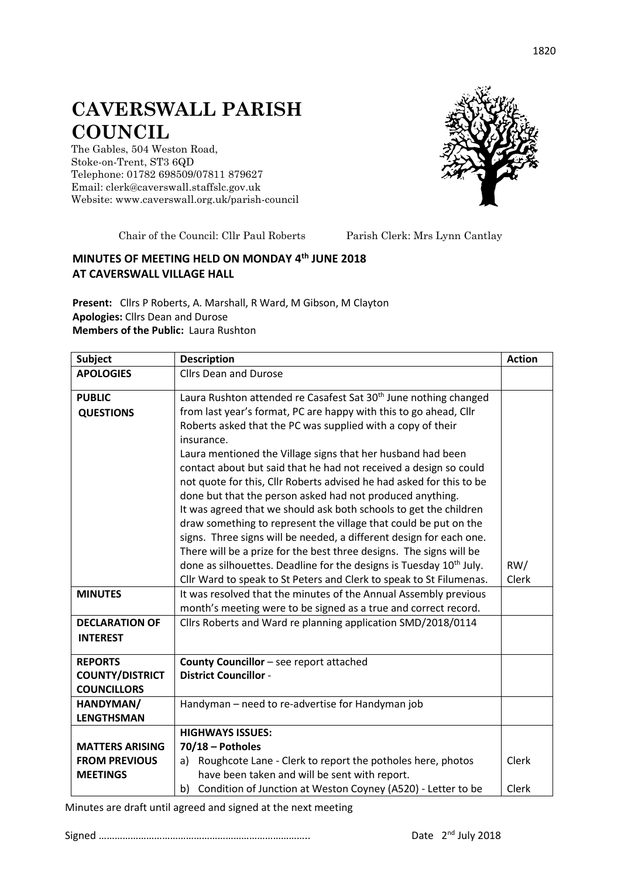## **CAVERSWALL PARISH COUNCIL**

The Gables, 504 Weston Road, Stoke-on-Trent, ST3 6QD Telephone: 01782 698509/07811 879627 Email: clerk@caverswall.staffslc.gov.uk Website: [www.c](http://www.dilhorneparishcouncil.co.uk/)averswall.org.uk/parish-council



Chair of the Council: Cllr Paul Roberts Parish Clerk: Mrs Lynn Cantlay

## **MINUTES OF MEETING HELD ON MONDAY 4 th JUNE 2018 AT CAVERSWALL VILLAGE HALL**

**Present:** Cllrs P Roberts, A. Marshall, R Ward, M Gibson, M Clayton **Apologies:** Cllrs Dean and Durose **Members of the Public:** Laura Rushton

| <b>Subject</b>         | <b>Description</b>                                                              | <b>Action</b> |
|------------------------|---------------------------------------------------------------------------------|---------------|
| <b>APOLOGIES</b>       | <b>Cllrs Dean and Durose</b>                                                    |               |
| <b>PUBLIC</b>          | Laura Rushton attended re Casafest Sat 30 <sup>th</sup> June nothing changed    |               |
| <b>QUESTIONS</b>       | from last year's format, PC are happy with this to go ahead, Cllr               |               |
|                        | Roberts asked that the PC was supplied with a copy of their                     |               |
|                        | insurance.                                                                      |               |
|                        | Laura mentioned the Village signs that her husband had been                     |               |
|                        | contact about but said that he had not received a design so could               |               |
|                        | not quote for this, Cllr Roberts advised he had asked for this to be            |               |
|                        | done but that the person asked had not produced anything.                       |               |
|                        | It was agreed that we should ask both schools to get the children               |               |
|                        | draw something to represent the village that could be put on the                |               |
|                        | signs. Three signs will be needed, a different design for each one.             |               |
|                        | There will be a prize for the best three designs. The signs will be             |               |
|                        | done as silhouettes. Deadline for the designs is Tuesday 10 <sup>th</sup> July. | RW/           |
|                        | Cllr Ward to speak to St Peters and Clerk to speak to St Filumenas.             | Clerk         |
| <b>MINUTES</b>         | It was resolved that the minutes of the Annual Assembly previous                |               |
|                        | month's meeting were to be signed as a true and correct record.                 |               |
| <b>DECLARATION OF</b>  | Cllrs Roberts and Ward re planning application SMD/2018/0114                    |               |
| <b>INTEREST</b>        |                                                                                 |               |
| <b>REPORTS</b>         | County Councillor - see report attached                                         |               |
| <b>COUNTY/DISTRICT</b> | <b>District Councillor -</b>                                                    |               |
| <b>COUNCILLORS</b>     |                                                                                 |               |
| HANDYMAN/              | Handyman - need to re-advertise for Handyman job                                |               |
| <b>LENGTHSMAN</b>      |                                                                                 |               |
|                        | <b>HIGHWAYS ISSUES:</b>                                                         |               |
| <b>MATTERS ARISING</b> | $70/18$ – Potholes                                                              |               |
| <b>FROM PREVIOUS</b>   | a) Roughcote Lane - Clerk to report the potholes here, photos                   | Clerk         |
| <b>MEETINGS</b>        | have been taken and will be sent with report.                                   |               |
|                        | Condition of Junction at Weston Coyney (A520) - Letter to be<br>b)              | Clerk         |

Minutes are draft until agreed and signed at the next meeting

Signed …………………………………………………………………….. Date 2

1820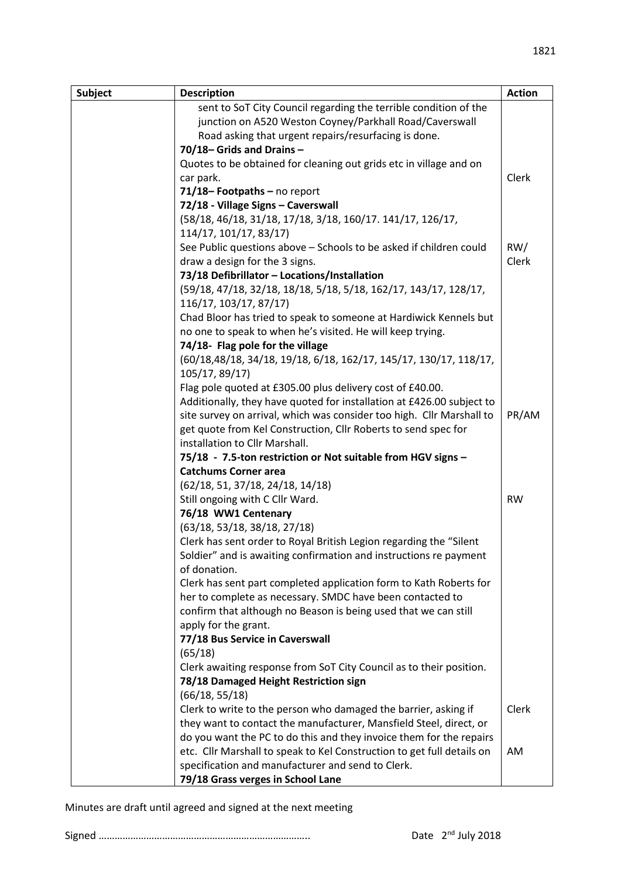| <b>Subject</b> | <b>Description</b>                                                     | <b>Action</b> |
|----------------|------------------------------------------------------------------------|---------------|
|                | sent to SoT City Council regarding the terrible condition of the       |               |
|                | junction on A520 Weston Coyney/Parkhall Road/Caverswall                |               |
|                | Road asking that urgent repairs/resurfacing is done.                   |               |
|                | 70/18-Grids and Drains-                                                |               |
|                | Quotes to be obtained for cleaning out grids etc in village and on     |               |
|                | car park.                                                              | Clerk         |
|                | 71/18-Footpaths-no report                                              |               |
|                | 72/18 - Village Signs - Caverswall                                     |               |
|                | (58/18, 46/18, 31/18, 17/18, 3/18, 160/17. 141/17, 126/17,             |               |
|                | 114/17, 101/17, 83/17)                                                 |               |
|                | See Public questions above - Schools to be asked if children could     | RW/           |
|                | draw a design for the 3 signs.                                         | Clerk         |
|                | 73/18 Defibrillator - Locations/Installation                           |               |
|                | (59/18, 47/18, 32/18, 18/18, 5/18, 5/18, 162/17, 143/17, 128/17,       |               |
|                | 116/17, 103/17, 87/17)                                                 |               |
|                | Chad Bloor has tried to speak to someone at Hardiwick Kennels but      |               |
|                | no one to speak to when he's visited. He will keep trying.             |               |
|                | 74/18- Flag pole for the village                                       |               |
|                | (60/18,48/18, 34/18, 19/18, 6/18, 162/17, 145/17, 130/17, 118/17,      |               |
|                | 105/17, 89/17)                                                         |               |
|                | Flag pole quoted at £305.00 plus delivery cost of £40.00.              |               |
|                | Additionally, they have quoted for installation at £426.00 subject to  |               |
|                | site survey on arrival, which was consider too high. Cllr Marshall to  | PR/AM         |
|                | get quote from Kel Construction, Cllr Roberts to send spec for         |               |
|                | installation to Cllr Marshall.                                         |               |
|                | 75/18 - 7.5-ton restriction or Not suitable from HGV signs -           |               |
|                | <b>Catchums Corner area</b>                                            |               |
|                | (62/18, 51, 37/18, 24/18, 14/18)                                       |               |
|                | Still ongoing with C Cllr Ward.                                        | <b>RW</b>     |
|                | 76/18 WW1 Centenary                                                    |               |
|                | (63/18, 53/18, 38/18, 27/18)                                           |               |
|                | Clerk has sent order to Royal British Legion regarding the "Silent     |               |
|                | Soldier" and is awaiting confirmation and instructions re payment      |               |
|                | of donation.                                                           |               |
|                | Clerk has sent part completed application form to Kath Roberts for     |               |
|                | her to complete as necessary. SMDC have been contacted to              |               |
|                | confirm that although no Beason is being used that we can still        |               |
|                | apply for the grant.                                                   |               |
|                | 77/18 Bus Service in Caverswall                                        |               |
|                | (65/18)                                                                |               |
|                | Clerk awaiting response from SoT City Council as to their position.    |               |
|                | 78/18 Damaged Height Restriction sign                                  |               |
|                | (66/18, 55/18)                                                         |               |
|                | Clerk to write to the person who damaged the barrier, asking if        | Clerk         |
|                | they want to contact the manufacturer, Mansfield Steel, direct, or     |               |
|                | do you want the PC to do this and they invoice them for the repairs    |               |
|                | etc. Cllr Marshall to speak to Kel Construction to get full details on | AM.           |
|                | specification and manufacturer and send to Clerk.                      |               |
|                | 79/18 Grass verges in School Lane                                      |               |

Minutes are draft until agreed and signed at the next meeting

Signed …………………………………………………………………….. Date 2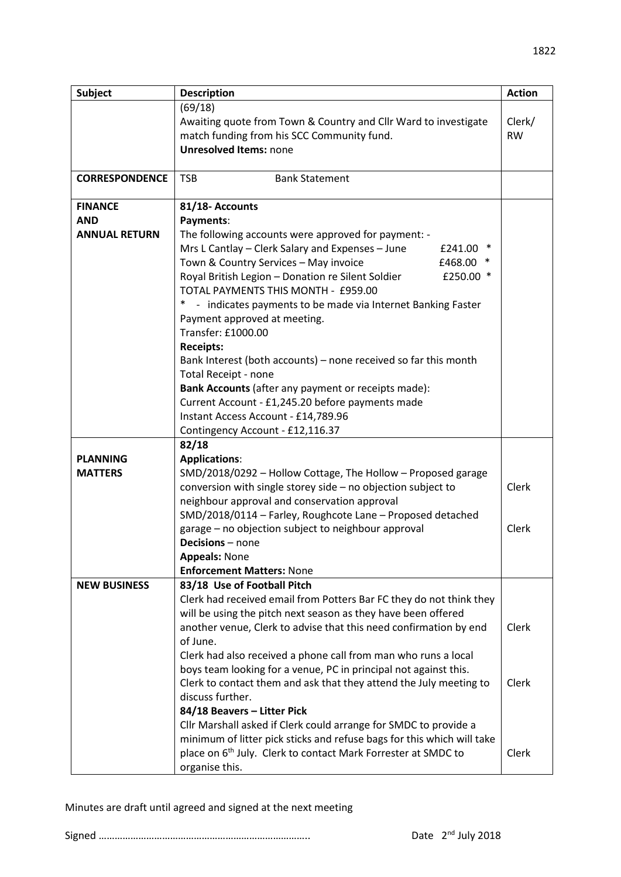| <b>Subject</b>        | <b>Description</b>                                                        | <b>Action</b> |
|-----------------------|---------------------------------------------------------------------------|---------------|
|                       | (69/18)                                                                   |               |
|                       | Awaiting quote from Town & Country and Cllr Ward to investigate           | Clerk/        |
|                       | match funding from his SCC Community fund.                                | <b>RW</b>     |
|                       | <b>Unresolved Items: none</b>                                             |               |
|                       |                                                                           |               |
| <b>CORRESPONDENCE</b> | <b>TSB</b><br><b>Bank Statement</b>                                       |               |
| <b>FINANCE</b>        | 81/18- Accounts                                                           |               |
| <b>AND</b>            | Payments:                                                                 |               |
| <b>ANNUAL RETURN</b>  | The following accounts were approved for payment: -                       |               |
|                       | Mrs L Cantlay - Clerk Salary and Expenses - June<br>£241.00               |               |
|                       | Town & Country Services - May invoice<br>£468.00                          |               |
|                       | Royal British Legion - Donation re Silent Soldier<br>£250.00 *            |               |
|                       | TOTAL PAYMENTS THIS MONTH - £959.00                                       |               |
|                       | * - indicates payments to be made via Internet Banking Faster             |               |
|                       | Payment approved at meeting.                                              |               |
|                       | Transfer: £1000.00                                                        |               |
|                       | <b>Receipts:</b>                                                          |               |
|                       | Bank Interest (both accounts) - none received so far this month           |               |
|                       | <b>Total Receipt - none</b>                                               |               |
|                       | Bank Accounts (after any payment or receipts made):                       |               |
|                       | Current Account - £1,245.20 before payments made                          |               |
|                       | Instant Access Account - £14,789.96                                       |               |
|                       | Contingency Account - £12,116.37                                          |               |
|                       | 82/18                                                                     |               |
| <b>PLANNING</b>       | <b>Applications:</b>                                                      |               |
| <b>MATTERS</b>        | SMD/2018/0292 - Hollow Cottage, The Hollow - Proposed garage              |               |
|                       | conversion with single storey side - no objection subject to              | Clerk         |
|                       | neighbour approval and conservation approval                              |               |
|                       | SMD/2018/0114 - Farley, Roughcote Lane - Proposed detached                |               |
|                       | garage - no objection subject to neighbour approval                       | Clerk         |
|                       | <b>Decisions</b> – none                                                   |               |
|                       | <b>Appeals: None</b>                                                      |               |
|                       | <b>Enforcement Matters: None</b>                                          |               |
| <b>NEW BUSINESS</b>   | 83/18 Use of Football Pitch                                               |               |
|                       | Clerk had received email from Potters Bar FC they do not think they       |               |
|                       | will be using the pitch next season as they have been offered             |               |
|                       | another venue, Clerk to advise that this need confirmation by end         | Clerk         |
|                       | of June.                                                                  |               |
|                       | Clerk had also received a phone call from man who runs a local            |               |
|                       | boys team looking for a venue, PC in principal not against this.          |               |
|                       | Clerk to contact them and ask that they attend the July meeting to        | Clerk         |
|                       | discuss further.                                                          |               |
|                       | 84/18 Beavers - Litter Pick                                               |               |
|                       | Cllr Marshall asked if Clerk could arrange for SMDC to provide a          |               |
|                       | minimum of litter pick sticks and refuse bags for this which will take    |               |
|                       | place on 6 <sup>th</sup> July. Clerk to contact Mark Forrester at SMDC to | Clerk         |
|                       | organise this.                                                            |               |

Minutes are draft until agreed and signed at the next meeting

Signed …………………………………………………………………….. Date 2